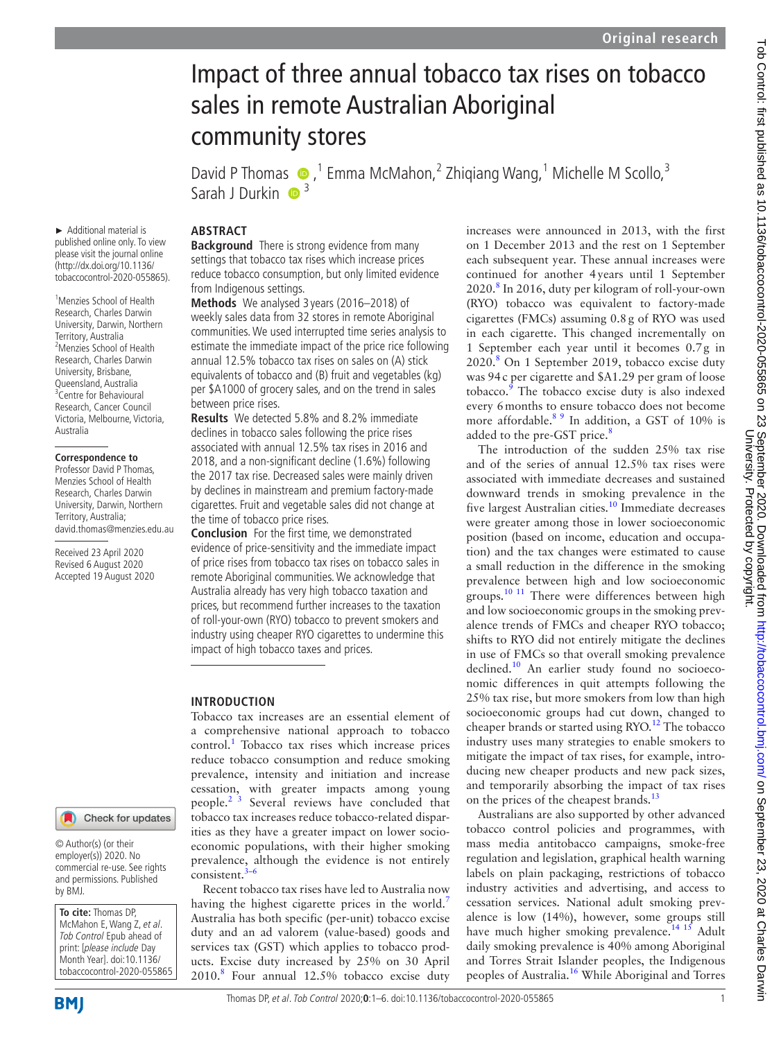#### Impact of three annual tobacco tax rises on tobacco sales in remote Australian Aboriginal community stores David P Thoma[s](http://orcid.org/0000-0002-2795-6454) $\bullet$ ,<sup>1</sup> Emma McMahon,<sup>2</sup> Zhiqiang Wang,<sup>1</sup> Michelle M Scollo,<sup>3</sup> **Background** There is strong evidence from many settings that tobacco tax rises which increase prices reduce tobacco consumption, but only limited evidence **Methods** We analysed 3 years (2016–2018) of weekly sales data from 32 stores in remote Aboriginal communities. We used interrupted time series analysis to estimate the immediate impact of the price rice following annual 12.5% tobacco tax rises on sales on (A) stick equivalents of tobacco and (B) fruit and vegetables (kg) per \$A1000 of grocery sales, and on the trend in sales **Results** We detected 5.8% and 8.2% immediate declines in tobacco sales following the price rises increases were announced in 2013, with the first on 1 December 2013 and the rest on 1 September each subsequent year. These annual increases were continued for another 4years until 1 September 2020.[8](#page-5-4) In 2016, duty per kilogram of roll-your-own (RYO) tobacco was equivalent to factory-made cigarettes (FMCs) assuming 0.8g of RYO was used in each cigarette. This changed incrementally on 1 September each year until it becomes 0.7g in 2020.<sup>[8](#page-5-4)</sup> On 1 September 2019, tobacco excise duty was 94c per cigarette and \$A1.29 per gram of loose tobacco.<sup>9</sup> The tobacco excise duty is also indexed every 6months to ensure tobacco does not become more affordable.<sup>8 9</sup> In addition, a GST of 10% is added to the pre-GST price.<sup>8</sup>

The introduction of the sudden 25% tax rise and of the series of annual 12.5% tax rises were associated with immediate decreases and sustained downward trends in smoking prevalence in the five largest Australian cities.<sup>10</sup> Immediate decreases were greater among those in lower socioeconomic position (based on income, education and occupation) and the tax changes were estimated to cause a small reduction in the difference in the smoking prevalence between high and low socioeconomic groups.<sup>[10 11](#page-5-6)</sup> There were differences between high and low socioeconomic groups in the smoking prevalence trends of FMCs and cheaper RYO tobacco; shifts to RYO did not entirely mitigate the declines in use of FMCs so that overall smoking prevalence declined.<sup>[10](#page-5-6)</sup> An earlier study found no socioeconomic differences in quit attempts following the 25% tax rise, but more smokers from low than high socioeconomic groups had cut down, changed to cheaper brands or started using RYO.<sup>12</sup> The tobacco industry uses many strategies to enable smokers to mitigate the impact of tax rises, for example, introducing new cheaper products and new pack sizes, and temporarily absorbing the impact of tax rises on the prices of the cheapest brands.<sup>[13](#page-5-8)</sup>

Australians are also supported by other advanced tobacco control policies and programmes, with mass media antitobacco campaigns, smoke-free regulation and legislation, graphical health warning labels on plain packaging, restrictions of tobacco industry activities and advertising, and access to cessation services. National adult smoking prevalence is low (14%), however, some groups still have much higher smoking prevalence.<sup>14 15</sup> Adult daily smoking prevalence is 40% among Aboriginal and Torres Strait Islander peoples, the Indigenous peoples of Australia[.16](#page-5-10) While Aboriginal and Torres

► Additional material is published online only. To view please visit the journal online (http://dx.doi.org/10.1136/ tobaccocontrol-2020-055865). Sarah J Durkin  $\bullet$ <sup>3</sup>

from Indigenous settings.

between price rises.

the time of tobacco price rises.

associated with annual 12.5% tax rises in 2016 and 2018, and a non-significant decline (1.6%) following the 2017 tax rise. Decreased sales were mainly driven by declines in mainstream and premium factory-made cigarettes. Fruit and vegetable sales did not change at

**Conclusion** For the first time, we demonstrated evidence of price-sensitivity and the immediate impact of price rises from tobacco tax rises on tobacco sales in remote Aboriginal communities. We acknowledge that Australia already has very high tobacco taxation and prices, but recommend further increases to the taxation of roll-your-own (RYO) tobacco to prevent smokers and industry using cheaper RYO cigarettes to undermine this

impact of high tobacco taxes and prices.

Tobacco tax increases are an essential element of a comprehensive national approach to tobacco control.<sup>[1](#page-5-0)</sup> Tobacco tax rises which increase prices reduce tobacco consumption and reduce smoking prevalence, intensity and initiation and increase cessation, with greater impacts among young people. $2<sup>3</sup>$  Several reviews have concluded that tobacco tax increases reduce tobacco-related disparities as they have a greater impact on lower socioeconomic populations, with their higher smoking prevalence, although the evidence is not entirely

Recent tobacco tax rises have led to Australia now having the highest cigarette prices in the world.<sup>[7](#page-5-3)</sup> Australia has both specific (per-unit) tobacco excise duty and an ad valorem (value-based) goods and services tax (GST) which applies to tobacco products. Excise duty increased by 25% on 30 April 2010.<sup>[8](#page-5-4)</sup> Four annual 12.5% tobacco excise duty

**INTRODUCTION**

consistent.<sup>3</sup>

**ABSTRACT**

<sup>1</sup>Menzies School of Health Research, Charles Darwin University, Darwin, Northern Territory, Australia <sup>2</sup>Menzies School of Health Research, Charles Darwin University, Brisbane, Queensland, Australia <sup>3</sup> Centre for Behavioural Research, Cancer Council Victoria, Melbourne, Victoria, Australia

#### **Correspondence to**

Professor David P Thomas, Menzies School of Health Research, Charles Darwin University, Darwin, Northern Territory, Australia; david.thomas@menzies.edu.au

Received 23 April 2020 Revised 6 August 2020 Accepted 19 August 2020



© Author(s) (or their employer(s)) 2020. No commercial re-use. See rights and permissions. Published by BMJ.

**To cite:** Thomas DP, McMahon E, Wang Z, et al. Tob Control Epub ahead of print: [please include Day Month Year]. doi:10.1136/ tobaccocontrol-2020-055865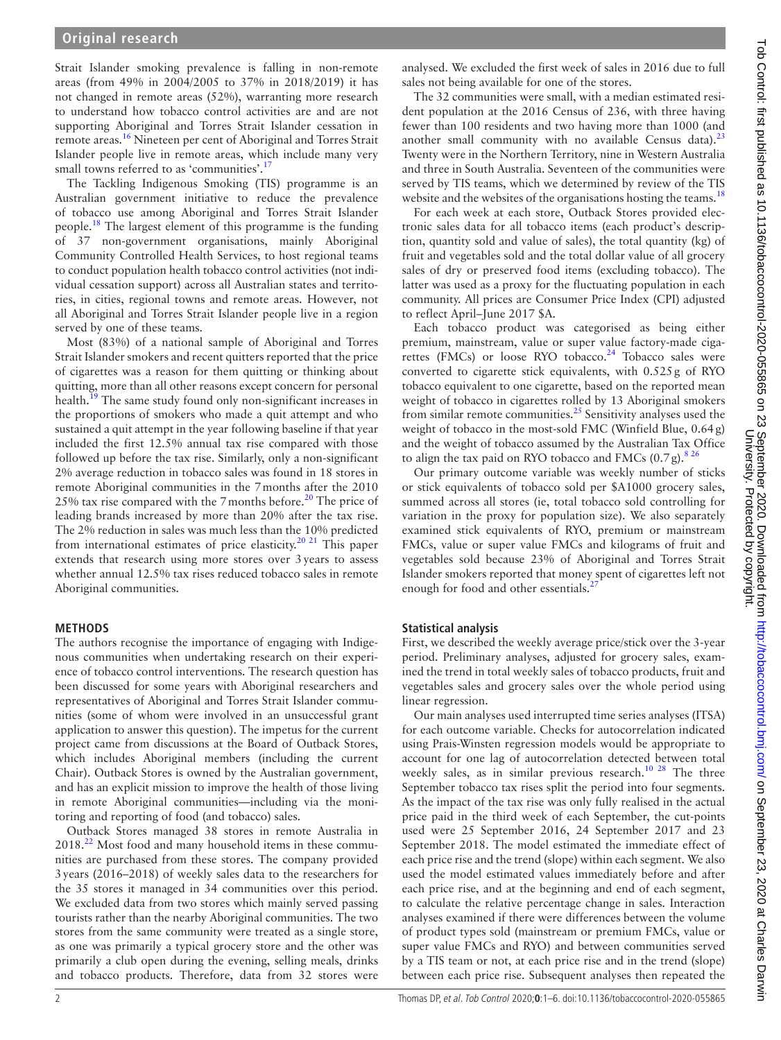Strait Islander smoking prevalence is falling in non-remote areas (from 49% in 2004/2005 to 37% in 2018/2019) it has not changed in remote areas (52%), warranting more research to understand how tobacco control activities are and are not supporting Aboriginal and Torres Strait Islander cessation in remote areas[.16](#page-5-10) Nineteen per cent of Aboriginal and Torres Strait Islander people live in remote areas, which include many very small towns referred to as 'communities'.<sup>[17](#page-5-11)</sup>

The Tackling Indigenous Smoking (TIS) programme is an Australian government initiative to reduce the prevalence of tobacco use among Aboriginal and Torres Strait Islander people[.18](#page-5-12) The largest element of this programme is the funding of 37 non-government organisations, mainly Aboriginal Community Controlled Health Services, to host regional teams to conduct population health tobacco control activities (not individual cessation support) across all Australian states and territories, in cities, regional towns and remote areas. However, not all Aboriginal and Torres Strait Islander people live in a region served by one of these teams.

Most (83%) of a national sample of Aboriginal and Torres Strait Islander smokers and recent quitters reported that the price of cigarettes was a reason for them quitting or thinking about quitting, more than all other reasons except concern for personal health.<sup>19</sup> The same study found only non-significant increases in the proportions of smokers who made a quit attempt and who sustained a quit attempt in the year following baseline if that year included the first 12.5% annual tax rise compared with those followed up before the tax rise. Similarly, only a non-significant 2% average reduction in tobacco sales was found in 18 stores in remote Aboriginal communities in the 7months after the 2010 25% tax rise compared with the 7 months before.<sup>20</sup> The price of leading brands increased by more than 20% after the tax rise. The 2% reduction in sales was much less than the 10% predicted from international estimates of price elasticity.<sup>[20 21](#page-5-14)</sup> This paper extends that research using more stores over 3years to assess whether annual 12.5% tax rises reduced tobacco sales in remote Aboriginal communities.

### **METHODS**

The authors recognise the importance of engaging with Indigenous communities when undertaking research on their experience of tobacco control interventions. The research question has been discussed for some years with Aboriginal researchers and representatives of Aboriginal and Torres Strait Islander communities (some of whom were involved in an unsuccessful grant application to answer this question). The impetus for the current project came from discussions at the Board of Outback Stores, which includes Aboriginal members (including the current Chair). Outback Stores is owned by the Australian government, and has an explicit mission to improve the health of those living in remote Aboriginal communities—including via the monitoring and reporting of food (and tobacco) sales.

Outback Stores managed 38 stores in remote Australia in 2018<sup>[22](#page-5-15)</sup> Most food and many household items in these communities are purchased from these stores. The company provided 3years (2016–2018) of weekly sales data to the researchers for the 35 stores it managed in 34 communities over this period. We excluded data from two stores which mainly served passing tourists rather than the nearby Aboriginal communities. The two stores from the same community were treated as a single store, as one was primarily a typical grocery store and the other was primarily a club open during the evening, selling meals, drinks and tobacco products. Therefore, data from 32 stores were

analysed. We excluded the first week of sales in 2016 due to full sales not being available for one of the stores.

The 32 communities were small, with a median estimated resident population at the 2016 Census of 236, with three having fewer than 100 residents and two having more than 1000 (and another small community with no available Census data).<sup>[23](#page-5-16)</sup> Twenty were in the Northern Territory, nine in Western Australia and three in South Australia. Seventeen of the communities were served by TIS teams, which we determined by review of the TIS website and the websites of the organisations hosting the teams.<sup>[18](#page-5-12)</sup>

For each week at each store, Outback Stores provided electronic sales data for all tobacco items (each product's description, quantity sold and value of sales), the total quantity (kg) of fruit and vegetables sold and the total dollar value of all grocery sales of dry or preserved food items (excluding tobacco). The latter was used as a proxy for the fluctuating population in each community. All prices are Consumer Price Index (CPI) adjusted to reflect April–June 2017 \$A.

Each tobacco product was categorised as being either premium, mainstream, value or super value factory-made cigarettes (FMCs) or loose RYO tobacco. $24$  Tobacco sales were converted to cigarette stick equivalents, with 0.525g of RYO tobacco equivalent to one cigarette, based on the reported mean weight of tobacco in cigarettes rolled by 13 Aboriginal smokers from similar remote communities.<sup>25</sup> Sensitivity analyses used the weight of tobacco in the most-sold FMC (Winfield Blue, 0.64g) and the weight of tobacco assumed by the Australian Tax Office to align the tax paid on RYO tobacco and FMCs  $(0.7g)^{8.26}$ 

Our primary outcome variable was weekly number of sticks or stick equivalents of tobacco sold per \$A1000 grocery sales, summed across all stores (ie, total tobacco sold controlling for variation in the proxy for population size). We also separately examined stick equivalents of RYO, premium or mainstream FMCs, value or super value FMCs and kilograms of fruit and vegetables sold because 23% of Aboriginal and Torres Strait Islander smokers reported that money spent of cigarettes left not enough for food and other essentials.<sup>[27](#page-5-19)</sup>

### **Statistical analysis**

First, we described the weekly average price/stick over the 3-year period. Preliminary analyses, adjusted for grocery sales, examined the trend in total weekly sales of tobacco products, fruit and vegetables sales and grocery sales over the whole period using linear regression.

Our main analyses used interrupted time series analyses (ITSA) for each outcome variable. Checks for autocorrelation indicated using Prais-Winsten regression models would be appropriate to account for one lag of autocorrelation detected between total weekly sales, as in similar previous research.<sup>[10 28](#page-5-6)</sup> The three September tobacco tax rises split the period into four segments. As the impact of the tax rise was only fully realised in the actual price paid in the third week of each September, the cut-points used were 25 September 2016, 24 September 2017 and 23 September 2018. The model estimated the immediate effect of each price rise and the trend (slope) within each segment. We also used the model estimated values immediately before and after each price rise, and at the beginning and end of each segment, to calculate the relative percentage change in sales. Interaction analyses examined if there were differences between the volume of product types sold (mainstream or premium FMCs, value or super value FMCs and RYO) and between communities served by a TIS team or not, at each price rise and in the trend (slope) between each price rise. Subsequent analyses then repeated the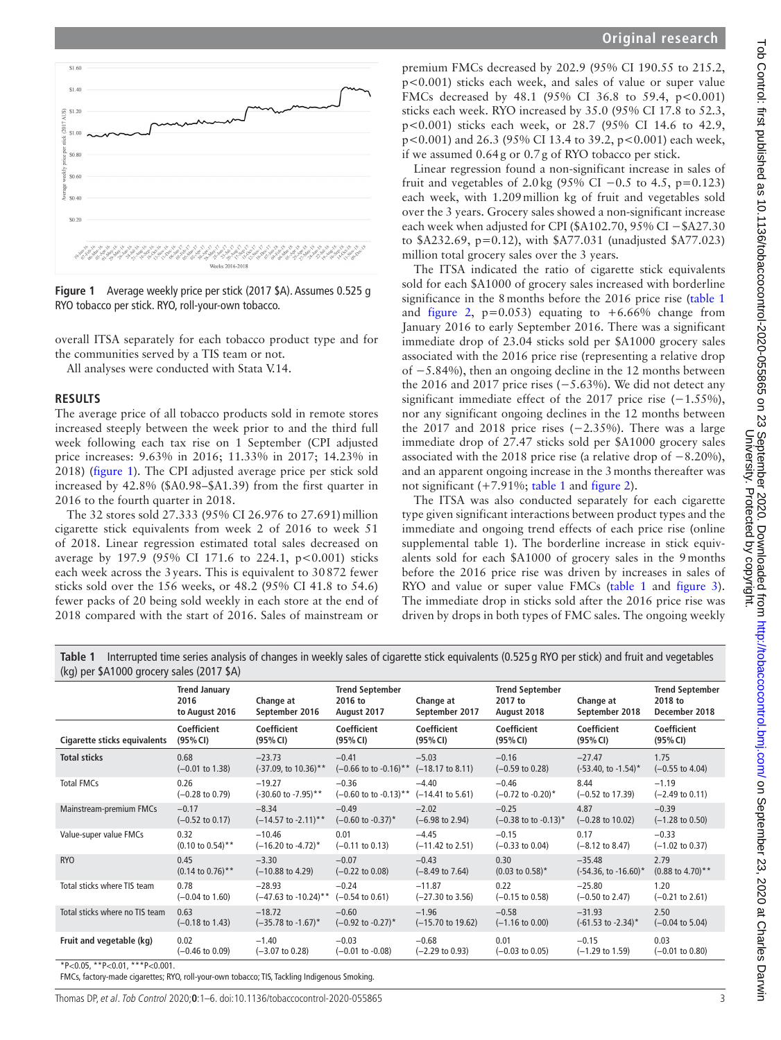# **Original research**



<span id="page-2-0"></span>**Figure 1** Average weekly price per stick (2017 \$A). Assumes 0.525 g RYO tobacco per stick. RYO, roll-your-own tobacco.

overall ITSA separately for each tobacco product type and for the communities served by a TIS team or not.

All analyses were conducted with Stata V.14.

### **RESULTS**

The average price of all tobacco products sold in remote stores increased steeply between the week prior to and the third full week following each tax rise on 1 September (CPI adjusted price increases: 9.63% in 2016; 11.33% in 2017; 14.23% in 2018) [\(figure](#page-2-0) 1). The CPI adjusted average price per stick sold increased by 42.8% (\$A0.98–\$A1.39) from the first quarter in 2016 to the fourth quarter in 2018.

The 32 stores sold 27.333 (95% CI 26.976 to 27.691)million cigarette stick equivalents from week 2 of 2016 to week 51 of 2018. Linear regression estimated total sales decreased on average by 197.9 (95% CI 171.6 to 224.1, p<0.001) sticks each week across the 3years. This is equivalent to 30872 fewer sticks sold over the 156 weeks, or 48.2 (95% CI 41.8 to 54.6) fewer packs of 20 being sold weekly in each store at the end of 2018 compared with the start of 2016. Sales of mainstream or

premium FMCs decreased by 202.9 (95% CI 190.55 to 215.2, p<0.001) sticks each week, and sales of value or super value FMCs decreased by 48.1 (95% CI 36.8 to 59.4,  $p < 0.001$ ) sticks each week. RYO increased by 35.0 (95% CI 17.8 to 52.3, p<0.001) sticks each week, or 28.7 (95% CI 14.6 to 42.9, p<0.001) and 26.3 (95% CI 13.4 to 39.2, p<0.001) each week, if we assumed 0.64g or 0.7g of RYO tobacco per stick.

Linear regression found a non-significant increase in sales of fruit and vegetables of 2.0 kg (95% CI  $-0.5$  to 4.5, p=0.123) each week, with 1.209million kg of fruit and vegetables sold over the 3 years. Grocery sales showed a non-significant increase each week when adjusted for CPI (\$A102.70, 95% CI −\$A27.30 to \$A232.69, p=0.12), with \$A77.031 (unadjusted \$A77.023) million total grocery sales over the 3 years.

The ITSA indicated the ratio of cigarette stick equivalents sold for each \$A1000 of grocery sales increased with borderline significance in the 8months before the 2016 price rise ([table](#page-2-1) 1 and [figure](#page-3-0) 2,  $p=0.053$ ) equating to  $+6.66%$  change from January 2016 to early September 2016. There was a significant immediate drop of 23.04 sticks sold per \$A1000 grocery sales associated with the 2016 price rise (representing a relative drop of −5.84%), then an ongoing decline in the 12 months between the 2016 and 2017 price rises (−5.63%). We did not detect any significant immediate effect of the 2017 price rise (−1.55%), nor any significant ongoing declines in the 12 months between the 2017 and 2018 price rises (−2.35%). There was a large immediate drop of 27.47 sticks sold per \$A1000 grocery sales associated with the 2018 price rise (a relative drop of −8.20%), and an apparent ongoing increase in the 3months thereafter was not significant (+7.91%; [table](#page-2-1) 1 and [figure](#page-3-0) 2).

The ITSA was also conducted separately for each cigarette type given significant interactions between product types and the immediate and ongoing trend effects of each price rise [\(online](https://dx.doi.org/10.1136/tobaccocontrol-2020-055865) [supplemental table 1](https://dx.doi.org/10.1136/tobaccocontrol-2020-055865)). The borderline increase in stick equivalents sold for each \$A1000 of grocery sales in the 9months before the 2016 price rise was driven by increases in sales of RYO and value or super value FMCs [\(table](#page-2-1) 1 and [figure](#page-3-1) 3). The immediate drop in sticks sold after the 2016 price rise was driven by drops in both types of FMC sales. The ongoing weekly

<span id="page-2-1"></span>**Table 1** Interrupted time series analysis of changes in weekly sales of cigarette stick equivalents (0.525 g RYO per stick) and fruit and vegetables (kg) per \$A1000 grocery sales (2017 \$A)

|                                | <b>Trend January</b><br>2016<br>to August 2016 | Change at<br>September 2016         | <b>Trend September</b><br>2016 to<br>August 2017                                 | Change at<br>September 2017  | <b>Trend September</b><br>2017 to<br>August 2018 | Change at<br>September 2018        | <b>Trend September</b><br>2018 to<br>December 2018 |
|--------------------------------|------------------------------------------------|-------------------------------------|----------------------------------------------------------------------------------|------------------------------|--------------------------------------------------|------------------------------------|----------------------------------------------------|
| Cigarette sticks equivalents   | Coefficient                                    | Coefficient                         | Coefficient                                                                      | Coefficient                  | Coefficient                                      | Coefficient                        | <b>Coefficient</b>                                 |
|                                | (95% CI)                                       | (95% CI)                            | (95% CI)                                                                         | (95% CI)                     | (95% CI)                                         | (95% CI)                           | (95% CI)                                           |
| <b>Total sticks</b>            | 0.68<br>$(-0.01 \text{ to } 1.38)$             | $-23.73$<br>$(-37.09, to 10.36)$ ** | $-0.41$<br>$(-0.66 \text{ to } -0.16)$ <sup>**</sup> $(-18.17 \text{ to } 8.11)$ | $-5.03$                      | $-0.16$<br>$(-0.59 \text{ to } 0.28)$            | $-27.47$<br>$(-53.40, to -1.54)^*$ | 1.75<br>$(-0.55$ to 4.04)                          |
| <b>Total FMCs</b>              | 0.26                                           | $-19.27$                            | $-0.36$                                                                          | $-4.40$                      | $-0.46$                                          | 8.44                               | $-1.19$                                            |
|                                | $(-0.28 \text{ to } 0.79)$                     | (-30.60 to -7.95)**                 | $(-0.60 \text{ to } 0.13)$ **                                                    | $(-14.41 \text{ to } 5.61)$  | $(-0.72 \text{ to } -0.20)^*$                    | $(-0.52 \text{ to } 17.39)$        | $(-2.49 \text{ to } 0.11)$                         |
| Mainstream-premium FMCs        | $-0.17$                                        | $-8.34$                             | $-0.49$                                                                          | $-2.02$                      | $-0.25$                                          | 4.87                               | $-0.39$                                            |
|                                | $(-0.52 \text{ to } 0.17)$                     | $(-14.57$ to $-2.11)$ **            | $(-0.60 \text{ to } -0.37)^*$                                                    | $(-6.98 \text{ to } 2.94)$   | $(-0.38 \text{ to to } -0.13)^*$                 | $(-0.28 \text{ to } 10.02)$        | $(-1.28 \text{ to } 0.50)$                         |
| Value-super value FMCs         | 0.32                                           | $-10.46$                            | 0.01                                                                             | $-4.45$                      | $-0.15$                                          | 0.17                               | $-0.33$                                            |
|                                | $(0.10 \text{ to } 0.54)$ **                   | $(-16.20 \text{ to } -4.72)^*$      | $(-0.11 \text{ to } 0.13)$                                                       | $(-11.42 \text{ to } 2.51)$  | $(-0.33 \text{ to } 0.04)$                       | $(-8.12 \text{ to } 8.47)$         | $(-1.02 \text{ to } 0.37)$                         |
| <b>RYO</b>                     | 0.45                                           | $-3.30$                             | $-0.07$                                                                          | $-0.43$                      | 0.30                                             | $-35.48$                           | 2.79                                               |
|                                | $(0.14 \text{ to } 0.76)$ <sup>**</sup>        | $(-10.88 \text{ to } 4.29)$         | $(-0.22 \text{ to } 0.08)$                                                       | $(-8.49 \text{ to } 7.64)$   | $(0.03 \text{ to } 0.58)^*$                      | $(-54.36, to -16.60)^*$            | $(0.88 \text{ to } 4.70)$ **                       |
| Total sticks where TIS team    | 0.78                                           | $-28.93$                            | $-0.24$                                                                          | $-11.87$                     | 0.22                                             | $-25.80$                           | 1.20                                               |
|                                | $(-0.04 \text{ to } 1.60)$                     | $(-47.63 \text{ to } -10.24)$ **    | $(-0.54 \text{ to } 0.61)$                                                       | $(-27.30 \text{ to } 3.56)$  | $(-0.15 \text{ to } 0.58)$                       | $(-0.50 \text{ to } 2.47)$         | $(-0.21 \text{ to } 2.61)$                         |
| Total sticks where no TIS team | 0.63                                           | $-18.72$                            | $-0.60$                                                                          | $-1.96$                      | $-0.58$                                          | $-31.93$                           | 2.50                                               |
|                                | $(-0.18 \text{ to } 1.43)$                     | $(-35.78 \text{ to } -1.67)^*$      | $(-0.92 \text{ to } -0.27)^*$                                                    | $(-15.70 \text{ to } 19.62)$ | $(-1.16 \text{ to } 0.00)$                       | $(-61.53 \text{ to } -2.34)^*$     | $(-0.04 \text{ to } 5.04)$                         |
| Fruit and vegetable (kg)       | 0.02                                           | $-1.40$                             | $-0.03$                                                                          | $-0.68$                      | 0.01                                             | $-0.15$                            | 0.03                                               |
|                                | $(-0.46 \text{ to } 0.09)$                     | $(-3.07 \text{ to } 0.28)$          | $(-0.01 \text{ to } -0.08)$                                                      | $(-2.29 \text{ to } 0.93)$   | $(-0.03 \text{ to } 0.05)$                       | $(-1.29 \text{ to } 1.59)$         | $(-0.01 \text{ to } 0.80)$                         |
| *P<0.05. **P<0.01. ***P<0.001. |                                                |                                     |                                                                                  |                              |                                                  |                                    |                                                    |

\*P<0.05, \*\*P<0.01, \*\*\*P<0.001.

FMCs, factory-made cigarettes; RYO, roll-your-own tobacco; TIS, Tackling Indigenous Smoking.

Thomas DP, et al. Tob Control 2020;**0**:1–6. doi:10.1136/tobaccocontrol-2020-055865 3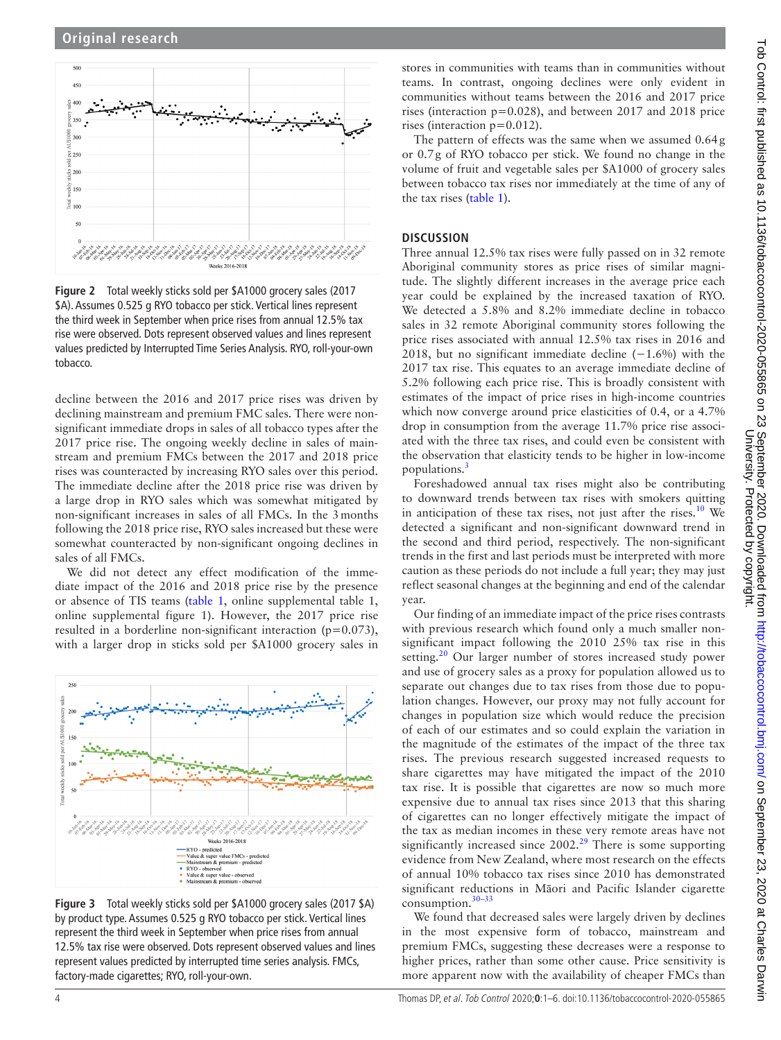

<span id="page-3-0"></span>**Figure 2** Total weekly sticks sold per \$A1000 grocery sales (2017 \$A). Assumes 0.525 g RYO tobacco per stick. Vertical lines represent the third week in September when price rises from annual 12.5% tax rise were observed. Dots represent observed values and lines represent values predicted by Interrupted Time Series Analysis. RYO, roll-your-own tobacco.

decline between the 2016 and 2017 price rises was driven by declining mainstream and premium FMC sales. There were nonsignificant immediate drops in sales of all tobacco types after the 2017 price rise. The ongoing weekly decline in sales of mainstream and premium FMCs between the 2017 and 2018 price rises was counteracted by increasing RYO sales over this period. The immediate decline after the 2018 price rise was driven by a large drop in RYO sales which was somewhat mitigated by non-significant increases in sales of all FMCs. In the 3months following the 2018 price rise, RYO sales increased but these were somewhat counteracted by non-significant ongoing declines in sales of all FMCs.

We did not detect any effect modification of the immediate impact of the 2016 and 2018 price rise by the presence or absence of TIS teams ([table](#page-2-1) 1, [online supplemental table 1,](https://dx.doi.org/10.1136/tobaccocontrol-2020-055865)  [online supplemental figure 1](https://dx.doi.org/10.1136/tobaccocontrol-2020-055865)). However, the 2017 price rise resulted in a borderline non-significant interaction (p=0.073), with a larger drop in sticks sold per \$A1000 grocery sales in



<span id="page-3-1"></span>**Figure 3** Total weekly sticks sold per \$A1000 grocery sales (2017 \$A) by product type. Assumes 0.525 g RYO tobacco per stick. Vertical lines represent the third week in September when price rises from annual 12.5% tax rise were observed. Dots represent observed values and lines represent values predicted by interrupted time series analysis. FMCs, factory-made cigarettes; RYO, roll-your-own.

stores in communities with teams than in communities without teams. In contrast, ongoing declines were only evident in communities without teams between the 2016 and 2017 price rises (interaction p=0.028), and between 2017 and 2018 price rises (interaction p=0.012).

The pattern of effects was the same when we assumed 0.64g or 0.7g of RYO tobacco per stick. We found no change in the volume of fruit and vegetable sales per \$A1000 of grocery sales between tobacco tax rises nor immediately at the time of any of the tax rises [\(table](#page-2-1) 1).

### **DISCUSSION**

Three annual 12.5% tax rises were fully passed on in 32 remote Aboriginal community stores as price rises of similar magnitude. The slightly different increases in the average price each year could be explained by the increased taxation of RYO. We detected a 5.8% and 8.2% immediate decline in tobacco sales in 32 remote Aboriginal community stores following the price rises associated with annual 12.5% tax rises in 2016 and 2018, but no significant immediate decline (−1.6%) with the 2017 tax rise. This equates to an average immediate decline of 5.2% following each price rise. This is broadly consistent with estimates of the impact of price rises in high-income countries which now converge around price elasticities of 0.4, or a 4.7% drop in consumption from the average 11.7% price rise associated with the three tax rises, and could even be consistent with the observation that elasticity tends to be higher in low-income populations.<sup>[3](#page-5-2)</sup>

Foreshadowed annual tax rises might also be contributing to downward trends between tax rises with smokers quitting in anticipation of these tax rises, not just after the rises.<sup>10</sup> We detected a significant and non-significant downward trend in the second and third period, respectively. The non-significant trends in the first and last periods must be interpreted with more caution as these periods do not include a full year; they may just reflect seasonal changes at the beginning and end of the calendar year.

Our finding of an immediate impact of the price rises contrasts with previous research which found only a much smaller nonsignificant impact following the 2010 25% tax rise in this setting.[20](#page-5-14) Our larger number of stores increased study power and use of grocery sales as a proxy for population allowed us to separate out changes due to tax rises from those due to population changes. However, our proxy may not fully account for changes in population size which would reduce the precision of each of our estimates and so could explain the variation in the magnitude of the estimates of the impact of the three tax rises. The previous research suggested increased requests to share cigarettes may have mitigated the impact of the 2010 tax rise. It is possible that cigarettes are now so much more expensive due to annual tax rises since 2013 that this sharing of cigarettes can no longer effectively mitigate the impact of the tax as median incomes in these very remote areas have not significantly increased since  $2002.^{29}$  There is some supporting evidence from New Zealand, where most research on the effects of annual 10% tobacco tax rises since 2010 has demonstrated significant reductions in Māori and Pacific Islander cigarette consumption.[30–33](#page-5-21)

We found that decreased sales were largely driven by declines in the most expensive form of tobacco, mainstream and premium FMCs, suggesting these decreases were a response to higher prices, rather than some other cause. Price sensitivity is more apparent now with the availability of cheaper FMCs than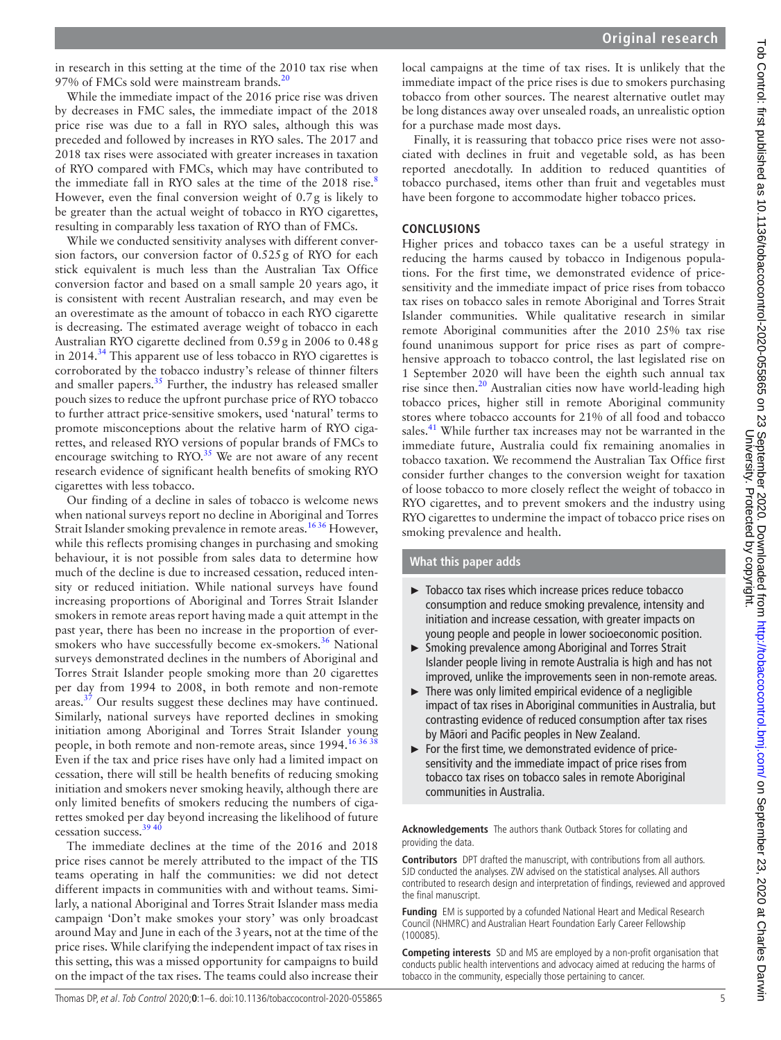in research in this setting at the time of the 2010 tax rise when 97% of FMCs sold were mainstream brands. $20$ 

While the immediate impact of the 2016 price rise was driven by decreases in FMC sales, the immediate impact of the 2018 price rise was due to a fall in RYO sales, although this was preceded and followed by increases in RYO sales. The 2017 and 2018 tax rises were associated with greater increases in taxation of RYO compared with FMCs, which may have contributed to the immediate fall in RYO sales at the time of the  $2018$  rise.<sup>8</sup> However, even the final conversion weight of 0.7g is likely to be greater than the actual weight of tobacco in RYO cigarettes, resulting in comparably less taxation of RYO than of FMCs.

While we conducted sensitivity analyses with different conversion factors, our conversion factor of 0.525g of RYO for each stick equivalent is much less than the Australian Tax Office conversion factor and based on a small sample 20 years ago, it is consistent with recent Australian research, and may even be an overestimate as the amount of tobacco in each RYO cigarette is decreasing. The estimated average weight of tobacco in each Australian RYO cigarette declined from 0.59g in 2006 to 0.48g in 2014.<sup>[34](#page-5-22)</sup> This apparent use of less tobacco in RYO cigarettes is corroborated by the tobacco industry's release of thinner filters and smaller papers.<sup>[35](#page-5-23)</sup> Further, the industry has released smaller pouch sizes to reduce the upfront purchase price of RYO tobacco to further attract price-sensitive smokers, used 'natural' terms to promote misconceptions about the relative harm of RYO cigarettes, and released RYO versions of popular brands of FMCs to encourage switching to RYO.<sup>35</sup> We are not aware of any recent research evidence of significant health benefits of smoking RYO cigarettes with less tobacco.

Our finding of a decline in sales of tobacco is welcome news when national surveys report no decline in Aboriginal and Torres Strait Islander smoking prevalence in remote areas.<sup>1636</sup> However, while this reflects promising changes in purchasing and smoking behaviour, it is not possible from sales data to determine how much of the decline is due to increased cessation, reduced intensity or reduced initiation. While national surveys have found increasing proportions of Aboriginal and Torres Strait Islander smokers in remote areas report having made a quit attempt in the past year, there has been no increase in the proportion of eversmokers who have successfully become ex-smokers.<sup>36</sup> National surveys demonstrated declines in the numbers of Aboriginal and Torres Strait Islander people smoking more than 20 cigarettes per day from 1994 to 2008, in both remote and non-remote areas.<sup>37</sup> Our results suggest these declines may have continued. Similarly, national surveys have reported declines in smoking initiation among Aboriginal and Torres Strait Islander young people, in both remote and non-remote areas, since 1994.<sup>163638</sup> Even if the tax and price rises have only had a limited impact on cessation, there will still be health benefits of reducing smoking initiation and smokers never smoking heavily, although there are only limited benefits of smokers reducing the numbers of cigarettes smoked per day beyond increasing the likelihood of future cessation success.<sup>[39 40](#page-5-26)</sup>

The immediate declines at the time of the 2016 and 2018 price rises cannot be merely attributed to the impact of the TIS teams operating in half the communities: we did not detect different impacts in communities with and without teams. Similarly, a national Aboriginal and Torres Strait Islander mass media campaign 'Don't make smokes your story' was only broadcast around May and June in each of the 3years, not at the time of the price rises. While clarifying the independent impact of tax rises in this setting, this was a missed opportunity for campaigns to build on the impact of the tax rises. The teams could also increase their

local campaigns at the time of tax rises. It is unlikely that the immediate impact of the price rises is due to smokers purchasing tobacco from other sources. The nearest alternative outlet may be long distances away over unsealed roads, an unrealistic option for a purchase made most days.

Finally, it is reassuring that tobacco price rises were not associated with declines in fruit and vegetable sold, as has been reported anecdotally. In addition to reduced quantities of tobacco purchased, items other than fruit and vegetables must have been forgone to accommodate higher tobacco prices.

### **CONCLUSIONS**

Higher prices and tobacco taxes can be a useful strategy in reducing the harms caused by tobacco in Indigenous populations. For the first time, we demonstrated evidence of pricesensitivity and the immediate impact of price rises from tobacco tax rises on tobacco sales in remote Aboriginal and Torres Strait Islander communities. While qualitative research in similar remote Aboriginal communities after the 2010 25% tax rise found unanimous support for price rises as part of comprehensive approach to tobacco control, the last legislated rise on 1 September 2020 will have been the eighth such annual tax rise since then.<sup>20</sup> Australian cities now have world-leading high tobacco prices, higher still in remote Aboriginal community stores where tobacco accounts for 21% of all food and tobacco sales.<sup>[41](#page-5-27)</sup> While further tax increases may not be warranted in the immediate future, Australia could fix remaining anomalies in tobacco taxation. We recommend the Australian Tax Office first consider further changes to the conversion weight for taxation of loose tobacco to more closely reflect the weight of tobacco in RYO cigarettes, and to prevent smokers and the industry using RYO cigarettes to undermine the impact of tobacco price rises on smoking prevalence and health.

# **What this paper adds**

- ► Tobacco tax rises which increase prices reduce tobacco consumption and reduce smoking prevalence, intensity and initiation and increase cessation, with greater impacts on young people and people in lower socioeconomic position.
- ► Smoking prevalence among Aboriginal and Torres Strait Islander people living in remote Australia is high and has not improved, unlike the improvements seen in non-remote areas.
- $\blacktriangleright$  There was only limited empirical evidence of a negligible impact of tax rises in Aboriginal communities in Australia, but contrasting evidence of reduced consumption after tax rises by Māori and Pacific peoples in New Zealand.
- ► For the first time, we demonstrated evidence of pricesensitivity and the immediate impact of price rises from tobacco tax rises on tobacco sales in remote Aboriginal communities in Australia.

**Acknowledgements** The authors thank Outback Stores for collating and providing the data.

**Contributors** DPT drafted the manuscript, with contributions from all authors. SJD conducted the analyses. ZW advised on the statistical analyses. All authors contributed to research design and interpretation of findings, reviewed and approved the final manuscript.

**Funding** EM is supported by a cofunded National Heart and Medical Research Council (NHMRC) and Australian Heart Foundation Early Career Fellowship (100085).

**Competing interests** SD and MS are employed by a non-profit organisation that conducts public health interventions and advocacy aimed at reducing the harms of tobacco in the community, especially those pertaining to cancer.